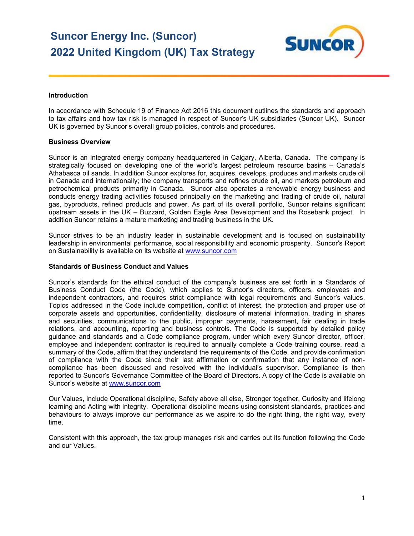# **Suncor Energy Inc. (Suncor) 2022 United Kingdom (UK) Tax Strategy**



### **Introduction**

 In accordance with Schedule 19 of Finance Act 2016 this document outlines the standards and approach to tax affairs and how tax risk is managed in respect of Suncor's UK subsidiaries (Suncor UK). Suncor UK is governed by Suncor's overall group policies, controls and procedures.

## **Business Overview**

 Suncor is an integrated energy company headquartered in Calgary, Alberta, Canada. The company is strategically focused on developing one of the world's largest petroleum resource basins – Canada's Athabasca oil sands. In addition Suncor explores for, acquires, develops, produces and markets crude oil in Canada and internationally; the company transports and refines crude oil, and markets petroleum and petrochemical products primarily in Canada. Suncor also operates a renewable energy business and conducts energy trading activities focused principally on the marketing and trading of crude oil, natural gas, byproducts, refined products and power. As part of its overall portfolio, Suncor retains significant upstream assets in the UK – Buzzard, Golden Eagle Area Development and the Rosebank project. In addition Suncor retains a mature marketing and trading business in the UK.

 Suncor strives to be an industry leader in sustainable development and is focused on sustainability leadership in environmental performance, social responsibility and economic prosperity. Suncor's Report [on Sustainability is available on its website at](https://onSustainabilityisavailableonitswebsiteatwww.suncor.com) www.suncor.com

#### **Standards of Business Conduct and Values**

 Suncor's standards for the ethical conduct of the company's business are set forth in a Standards of Business Conduct Code (the Code), which applies to Suncor's directors, officers, employees and independent contractors, and requires strict compliance with legal requirements and Suncor's values. Topics addressed in the Code include competition, conflict of interest, the protection and proper use of corporate assets and opportunities, confidentiality, disclosure of material information, trading in shares and securities, communications to the public, improper payments, harassment, fair dealing in trade relations, and accounting, reporting and business controls. The Code is supported by detailed policy guidance and standards and a Code compliance program, under which every Suncor director, officer, employee and independent contractor is required to annually complete a Code training course, read a summary of the Code, affirm that they understand the requirements of the Code, and provide confirmation of compliance with the Code since their last affirmation or confirmation that any instance of non- compliance has been discussed and resolved with the individual's supervisor. Compliance is then reported to Suncor's Governance Committee of the Board of Directors. A copy of the Code is available on [Suncor's website at](https://Suncor�swebsiteatwww.suncor.com) www.suncor.com

 Our Values, include Operational discipline, Safety above all else, Stronger together, Curiosity and lifelong learning and Acting with integrity. Operational discipline means using consistent standards, practices and behaviours to always improve our performance as we aspire to do the right thing, the right way, every time.

time.<br>Consistent with this approach, the tax group manages risk and carries out its function following the Code and our Values.